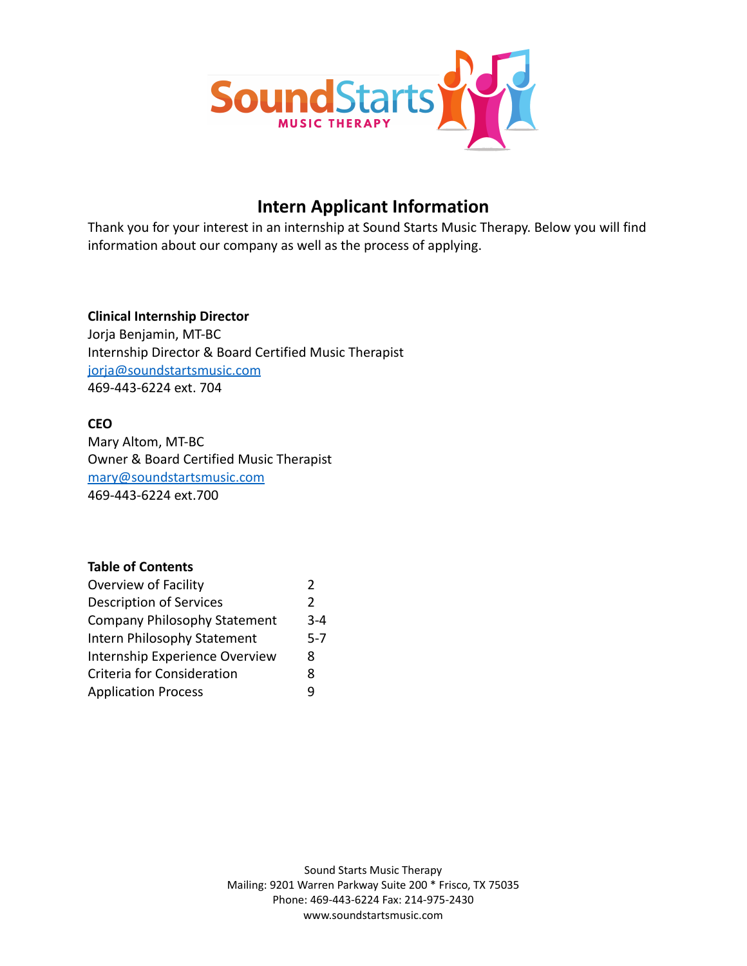

# **Intern Applicant Information**

Thank you for your interest in an internship at Sound Starts Music Therapy. Below you will find information about our company as well as the process of applying.

## **Clinical Internship Director**

Jorja Benjamin, MT-BC Internship Director & Board Certified Music Therapist [jorja@soundstartsmusic.com](mailto:jorja@soundstartsmusic.com) 469-443-6224 ext. 704

## **CEO**

Mary Altom, MT-BC Owner & Board Certified Music Therapist [mary@soundstartsmusic.com](mailto:mary@soundstartsmusic.com) 469-443-6224 ext.700

## **Table of Contents**

| Overview of Facility           | $\overline{\phantom{a}}$ |
|--------------------------------|--------------------------|
| <b>Description of Services</b> | $\mathcal{P}$            |
| Company Philosophy Statement   | $3 - 4$                  |
| Intern Philosophy Statement    | $5-7$                    |
| Internship Experience Overview | 8                        |
| Criteria for Consideration     | 8                        |
| <b>Application Process</b>     | q                        |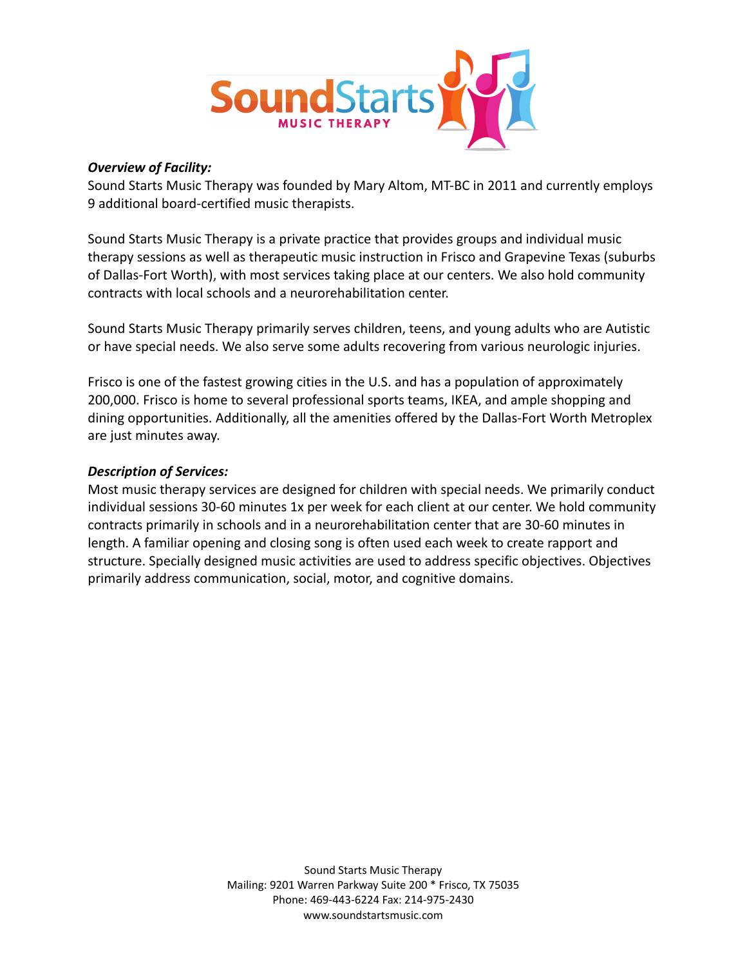

### *Overview of Facility:*

Sound Starts Music Therapy was founded by Mary Altom, MT-BC in 2011 and currently employs 9 additional board-certified music therapists.

Sound Starts Music Therapy is a private practice that provides groups and individual music therapy sessions as well as therapeutic music instruction in Frisco and Grapevine Texas (suburbs of Dallas-Fort Worth), with most services taking place at our centers. We also hold community contracts with local schools and a neurorehabilitation center.

Sound Starts Music Therapy primarily serves children, teens, and young adults who are Autistic or have special needs. We also serve some adults recovering from various neurologic injuries.

Frisco is one of the fastest growing cities in the U.S. and has a population of approximately 200,000. Frisco is home to several professional sports teams, IKEA, and ample shopping and dining opportunities. Additionally, all the amenities offered by the Dallas-Fort Worth Metroplex are just minutes away.

### *Description of Services:*

Most music therapy services are designed for children with special needs. We primarily conduct individual sessions 30-60 minutes 1x per week for each client at our center. We hold community contracts primarily in schools and in a neurorehabilitation center that are 30-60 minutes in length. A familiar opening and closing song is often used each week to create rapport and structure. Specially designed music activities are used to address specific objectives. Objectives primarily address communication, social, motor, and cognitive domains.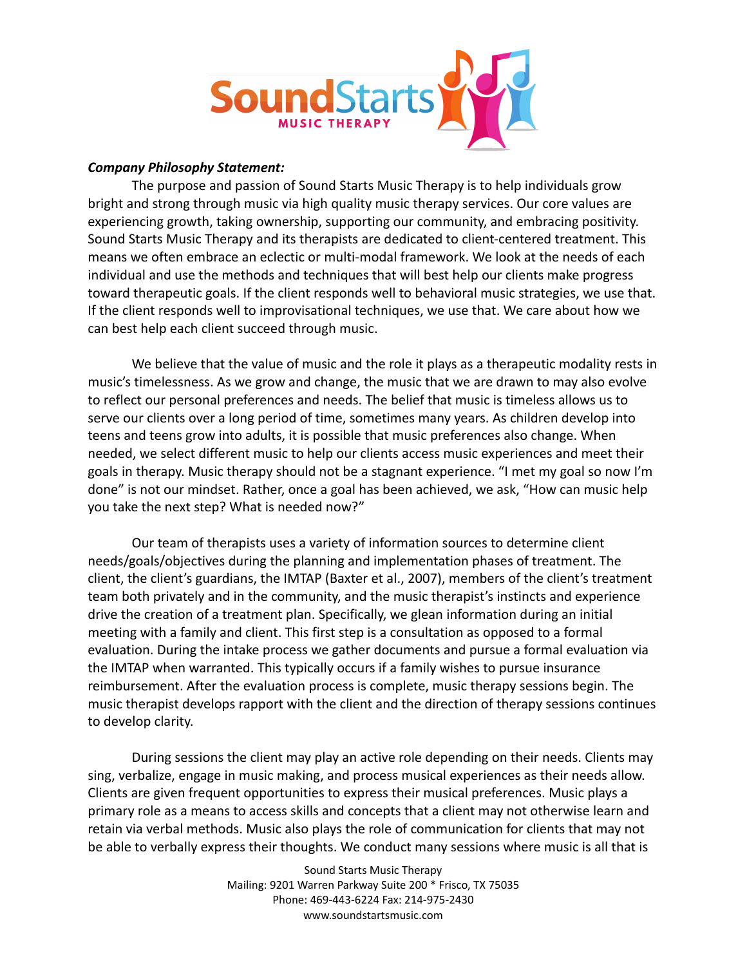

### *Company Philosophy Statement:*

The purpose and passion of Sound Starts Music Therapy is to help individuals grow bright and strong through music via high quality music therapy services. Our core values are experiencing growth, taking ownership, supporting our community, and embracing positivity. Sound Starts Music Therapy and its therapists are dedicated to client-centered treatment. This means we often embrace an eclectic or multi-modal framework. We look at the needs of each individual and use the methods and techniques that will best help our clients make progress toward therapeutic goals. If the client responds well to behavioral music strategies, we use that. If the client responds well to improvisational techniques, we use that. We care about how we can best help each client succeed through music.

We believe that the value of music and the role it plays as a therapeutic modality rests in music's timelessness. As we grow and change, the music that we are drawn to may also evolve to reflect our personal preferences and needs. The belief that music is timeless allows us to serve our clients over a long period of time, sometimes many years. As children develop into teens and teens grow into adults, it is possible that music preferences also change. When needed, we select different music to help our clients access music experiences and meet their goals in therapy. Music therapy should not be a stagnant experience. "I met my goal so now I'm done" is not our mindset. Rather, once a goal has been achieved, we ask, "How can music help you take the next step? What is needed now?"

Our team of therapists uses a variety of information sources to determine client needs/goals/objectives during the planning and implementation phases of treatment. The client, the client's guardians, the IMTAP (Baxter et al., 2007), members of the client's treatment team both privately and in the community, and the music therapist's instincts and experience drive the creation of a treatment plan. Specifically, we glean information during an initial meeting with a family and client. This first step is a consultation as opposed to a formal evaluation. During the intake process we gather documents and pursue a formal evaluation via the IMTAP when warranted. This typically occurs if a family wishes to pursue insurance reimbursement. After the evaluation process is complete, music therapy sessions begin. The music therapist develops rapport with the client and the direction of therapy sessions continues to develop clarity.

During sessions the client may play an active role depending on their needs. Clients may sing, verbalize, engage in music making, and process musical experiences as their needs allow. Clients are given frequent opportunities to express their musical preferences. Music plays a primary role as a means to access skills and concepts that a client may not otherwise learn and retain via verbal methods. Music also plays the role of communication for clients that may not be able to verbally express their thoughts. We conduct many sessions where music is all that is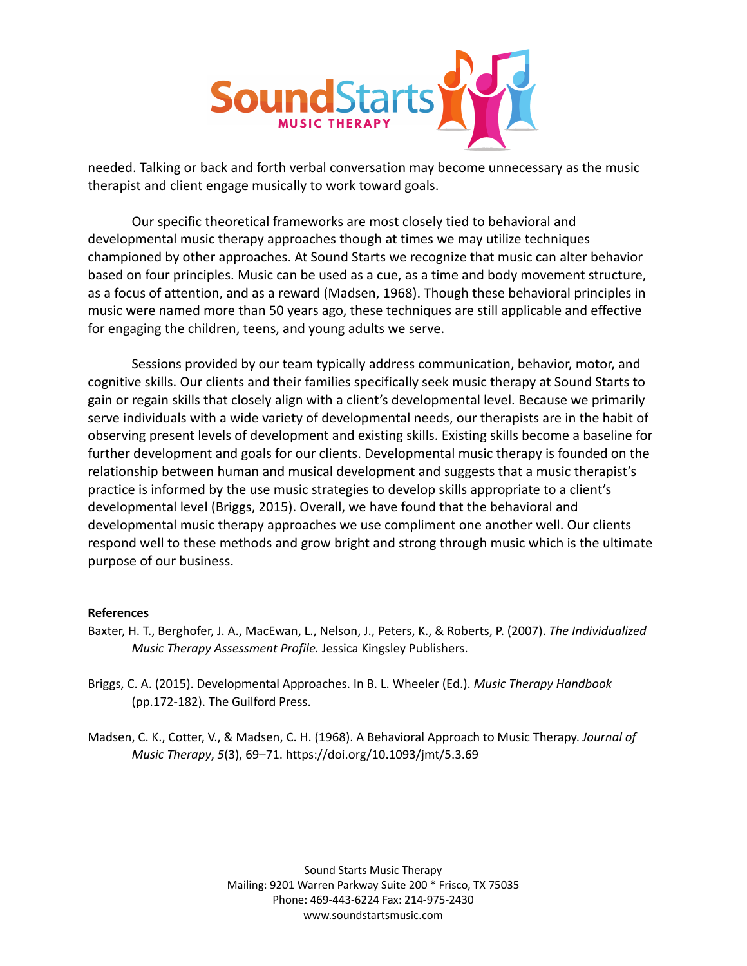

needed. Talking or back and forth verbal conversation may become unnecessary as the music therapist and client engage musically to work toward goals.

Our specific theoretical frameworks are most closely tied to behavioral and developmental music therapy approaches though at times we may utilize techniques championed by other approaches. At Sound Starts we recognize that music can alter behavior based on four principles. Music can be used as a cue, as a time and body movement structure, as a focus of attention, and as a reward (Madsen, 1968). Though these behavioral principles in music were named more than 50 years ago, these techniques are still applicable and effective for engaging the children, teens, and young adults we serve.

Sessions provided by our team typically address communication, behavior, motor, and cognitive skills. Our clients and their families specifically seek music therapy at Sound Starts to gain or regain skills that closely align with a client's developmental level. Because we primarily serve individuals with a wide variety of developmental needs, our therapists are in the habit of observing present levels of development and existing skills. Existing skills become a baseline for further development and goals for our clients. Developmental music therapy is founded on the relationship between human and musical development and suggests that a music therapist's practice is informed by the use music strategies to develop skills appropriate to a client's developmental level (Briggs, 2015). Overall, we have found that the behavioral and developmental music therapy approaches we use compliment one another well. Our clients respond well to these methods and grow bright and strong through music which is the ultimate purpose of our business.

#### **References**

- Baxter, H. T., Berghofer, J. A., MacEwan, L., Nelson, J., Peters, K., & Roberts, P. (2007). *The Individualized Music Therapy Assessment Profile.* Jessica Kingsley Publishers.
- Briggs, C. A. (2015). Developmental Approaches. In B. L. Wheeler (Ed.). *Music Therapy Handbook* (pp.172-182). The Guilford Press.
- Madsen, C. K., Cotter, V., & Madsen, C. H. (1968). A Behavioral Approach to Music Therapy. *Journal of Music Therapy*, *5*(3), 69–71. https://doi.org/10.1093/jmt/5.3.69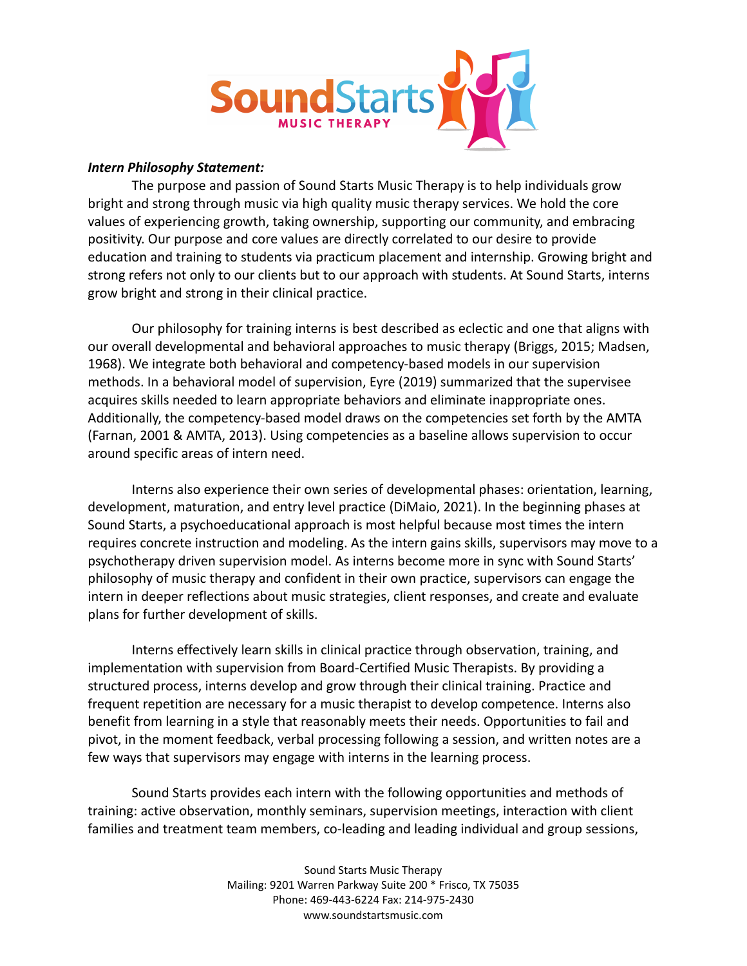

### *Intern Philosophy Statement:*

The purpose and passion of Sound Starts Music Therapy is to help individuals grow bright and strong through music via high quality music therapy services. We hold the core values of experiencing growth, taking ownership, supporting our community, and embracing positivity. Our purpose and core values are directly correlated to our desire to provide education and training to students via practicum placement and internship. Growing bright and strong refers not only to our clients but to our approach with students. At Sound Starts, interns grow bright and strong in their clinical practice.

Our philosophy for training interns is best described as eclectic and one that aligns with our overall developmental and behavioral approaches to music therapy (Briggs, 2015; Madsen, 1968). We integrate both behavioral and competency-based models in our supervision methods. In a behavioral model of supervision, Eyre (2019) summarized that the supervisee acquires skills needed to learn appropriate behaviors and eliminate inappropriate ones. Additionally, the competency-based model draws on the competencies set forth by the AMTA (Farnan, 2001 & AMTA, 2013). Using competencies as a baseline allows supervision to occur around specific areas of intern need.

Interns also experience their own series of developmental phases: orientation, learning, development, maturation, and entry level practice (DiMaio, 2021). In the beginning phases at Sound Starts, a psychoeducational approach is most helpful because most times the intern requires concrete instruction and modeling. As the intern gains skills, supervisors may move to a psychotherapy driven supervision model. As interns become more in sync with Sound Starts' philosophy of music therapy and confident in their own practice, supervisors can engage the intern in deeper reflections about music strategies, client responses, and create and evaluate plans for further development of skills.

Interns effectively learn skills in clinical practice through observation, training, and implementation with supervision from Board-Certified Music Therapists. By providing a structured process, interns develop and grow through their clinical training. Practice and frequent repetition are necessary for a music therapist to develop competence. Interns also benefit from learning in a style that reasonably meets their needs. Opportunities to fail and pivot, in the moment feedback, verbal processing following a session, and written notes are a few ways that supervisors may engage with interns in the learning process.

Sound Starts provides each intern with the following opportunities and methods of training: active observation, monthly seminars, supervision meetings, interaction with client families and treatment team members, co-leading and leading individual and group sessions,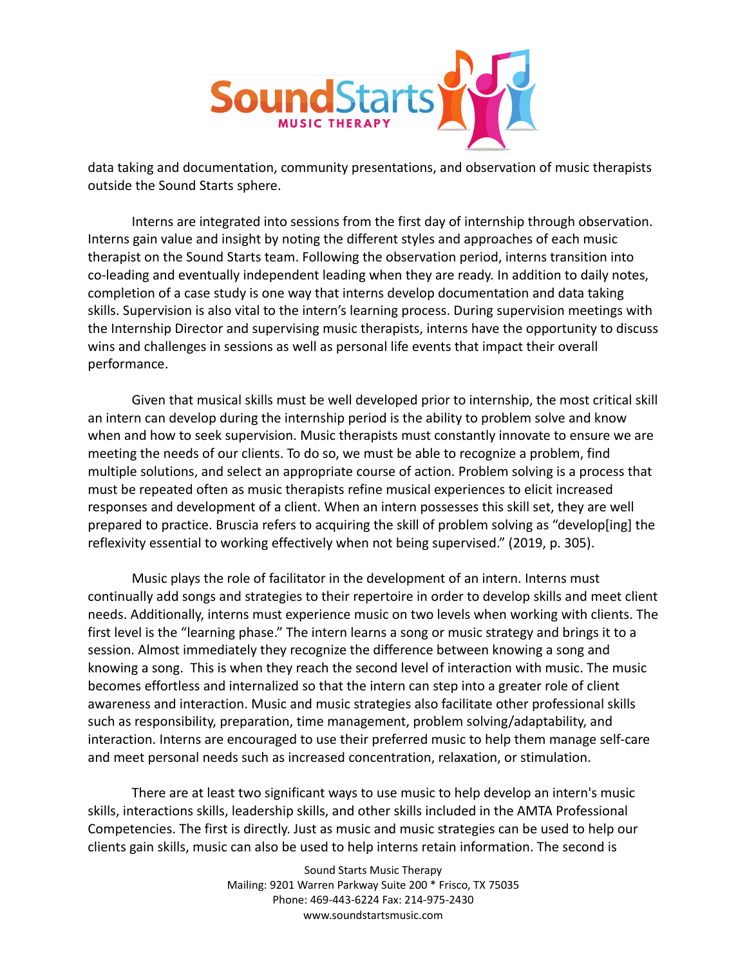

data taking and documentation, community presentations, and observation of music therapists outside the Sound Starts sphere.

Interns are integrated into sessions from the first day of internship through observation. Interns gain value and insight by noting the different styles and approaches of each music therapist on the Sound Starts team. Following the observation period, interns transition into co-leading and eventually independent leading when they are ready. In addition to daily notes, completion of a case study is one way that interns develop documentation and data taking skills. Supervision is also vital to the intern's learning process. During supervision meetings with the Internship Director and supervising music therapists, interns have the opportunity to discuss wins and challenges in sessions as well as personal life events that impact their overall performance.

Given that musical skills must be well developed prior to internship, the most critical skill an intern can develop during the internship period is the ability to problem solve and know when and how to seek supervision. Music therapists must constantly innovate to ensure we are meeting the needs of our clients. To do so, we must be able to recognize a problem, find multiple solutions, and select an appropriate course of action. Problem solving is a process that must be repeated often as music therapists refine musical experiences to elicit increased responses and development of a client. When an intern possesses this skill set, they are well prepared to practice. Bruscia refers to acquiring the skill of problem solving as "develop[ing] the reflexivity essential to working effectively when not being supervised." (2019, p. 305).

Music plays the role of facilitator in the development of an intern. Interns must continually add songs and strategies to their repertoire in order to develop skills and meet client needs. Additionally, interns must experience music on two levels when working with clients. The first level is the "learning phase." The intern learns a song or music strategy and brings it to a session. Almost immediately they recognize the difference between knowing a song and knowing a song. This is when they reach the second level of interaction with music. The music becomes effortless and internalized so that the intern can step into a greater role of client awareness and interaction. Music and music strategies also facilitate other professional skills such as responsibility, preparation, time management, problem solving/adaptability, and interaction. Interns are encouraged to use their preferred music to help them manage self-care and meet personal needs such as increased concentration, relaxation, or stimulation.

There are at least two significant ways to use music to help develop an intern's music skills, interactions skills, leadership skills, and other skills included in the AMTA Professional Competencies. The first is directly. Just as music and music strategies can be used to help our clients gain skills, music can also be used to help interns retain information. The second is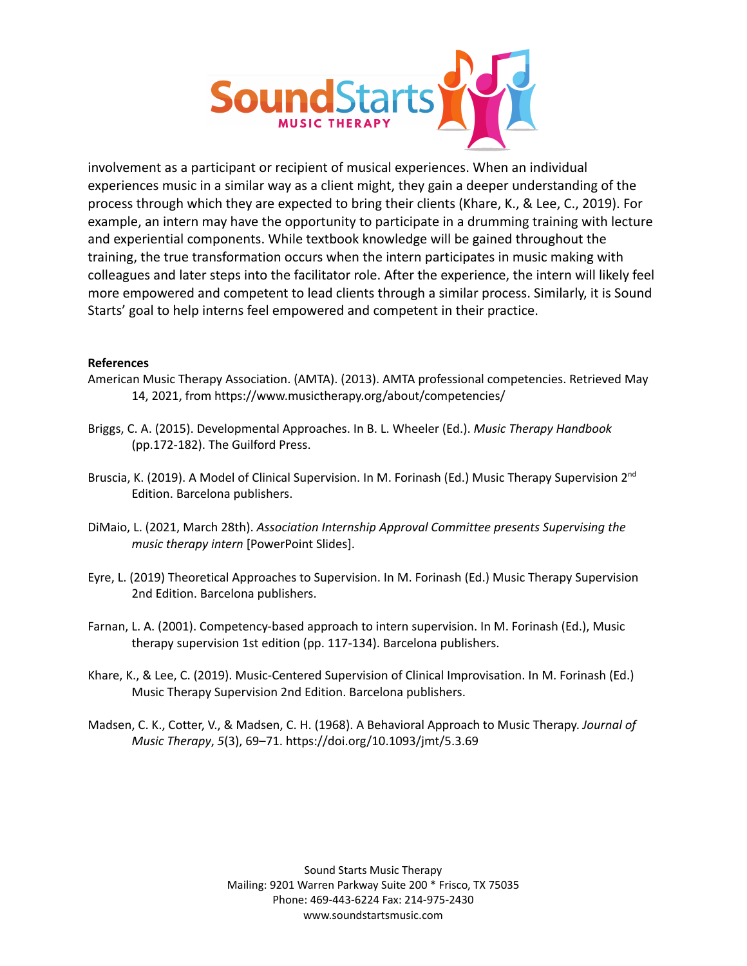

involvement as a participant or recipient of musical experiences. When an individual experiences music in a similar way as a client might, they gain a deeper understanding of the process through which they are expected to bring their clients (Khare, K., & Lee, C., 2019). For example, an intern may have the opportunity to participate in a drumming training with lecture and experiential components. While textbook knowledge will be gained throughout the training, the true transformation occurs when the intern participates in music making with colleagues and later steps into the facilitator role. After the experience, the intern will likely feel more empowered and competent to lead clients through a similar process. Similarly, it is Sound Starts' goal to help interns feel empowered and competent in their practice.

#### **References**

- American Music Therapy Association. (AMTA). (2013). AMTA professional competencies. Retrieved May 14, 2021, from https://www.musictherapy.org/about/competencies/
- Briggs, C. A. (2015). Developmental Approaches. In B. L. Wheeler (Ed.). *Music Therapy Handbook* (pp.172-182). The Guilford Press.
- Bruscia, K. (2019). A Model of Clinical Supervision. In M. Forinash (Ed.) Music Therapy Supervision 2<sup>nd</sup> Edition. Barcelona publishers.
- DiMaio, L. (2021, March 28th). *Association Internship Approval Committee presents Supervising the music therapy intern* [PowerPoint Slides].
- Eyre, L. (2019) Theoretical Approaches to Supervision. In M. Forinash (Ed.) Music Therapy Supervision 2nd Edition. Barcelona publishers.
- Farnan, L. A. (2001). Competency-based approach to intern supervision. In M. Forinash (Ed.), Music therapy supervision 1st edition (pp. 117-134). Barcelona publishers.
- Khare, K., & Lee, C. (2019). Music-Centered Supervision of Clinical Improvisation. In M. Forinash (Ed.) Music Therapy Supervision 2nd Edition. Barcelona publishers.
- Madsen, C. K., Cotter, V., & Madsen, C. H. (1968). A Behavioral Approach to Music Therapy. *Journal of Music Therapy*, *5*(3), 69–71. https://doi.org/10.1093/jmt/5.3.69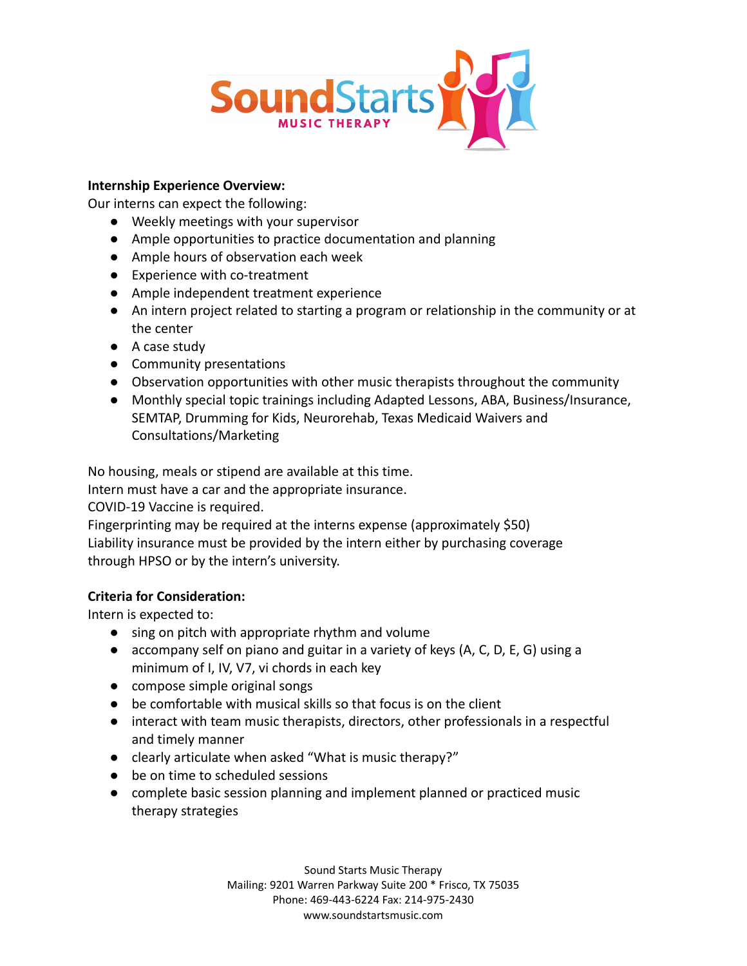

### **Internship Experience Overview:**

Our interns can expect the following:

- Weekly meetings with your supervisor
- Ample opportunities to practice documentation and planning
- Ample hours of observation each week
- Experience with co-treatment
- Ample independent treatment experience
- An intern project related to starting a program or relationship in the community or at the center
- A case study
- Community presentations
- Observation opportunities with other music therapists throughout the community
- Monthly special topic trainings including Adapted Lessons, ABA, Business/Insurance, SEMTAP, Drumming for Kids, Neurorehab, Texas Medicaid Waivers and Consultations/Marketing

No housing, meals or stipend are available at this time.

Intern must have a car and the appropriate insurance.

COVID-19 Vaccine is required.

Fingerprinting may be required at the interns expense (approximately \$50) Liability insurance must be provided by the intern either by purchasing coverage through HPSO or by the intern's university.

## **Criteria for Consideration:**

Intern is expected to:

- sing on pitch with appropriate rhythm and volume
- accompany self on piano and guitar in a variety of keys (A, C, D, E, G) using a minimum of I, IV, V7, vi chords in each key
- compose simple original songs
- be comfortable with musical skills so that focus is on the client
- interact with team music therapists, directors, other professionals in a respectful and timely manner
- clearly articulate when asked "What is music therapy?"
- be on time to scheduled sessions
- complete basic session planning and implement planned or practiced music therapy strategies